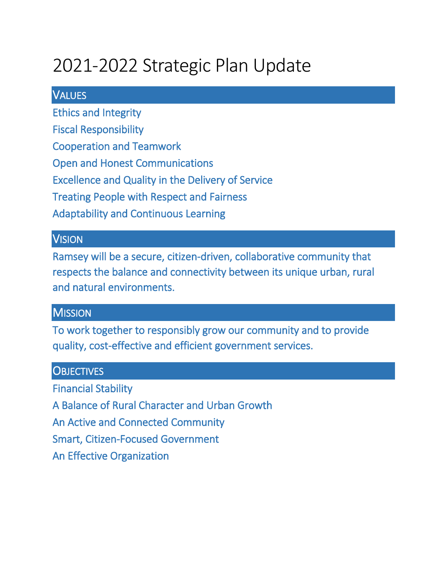# 2021-2022 Strategic Plan Update

#### **VALUES**

Ethics and Integrity

Fiscal Responsibility

Cooperation and Teamwork

Open and Honest Communications

Excellence and Quality in the Delivery of Service

Treating People with Respect and Fairness

Adaptability and Continuous Learning

#### **VISION**

Ramsey will be a secure, citizen-driven, collaborative community that respects the balance and connectivity between its unique urban, rural and natural environments.

#### **MISSION**

To work together to responsibly grow our community and to provide quality, cost-effective and efficient government services.

#### **OBJECTIVES**

Financial Stability A Balance of Rural Character and Urban Growth An Active and Connected Community Smart, Citizen-Focused Government An Effective Organization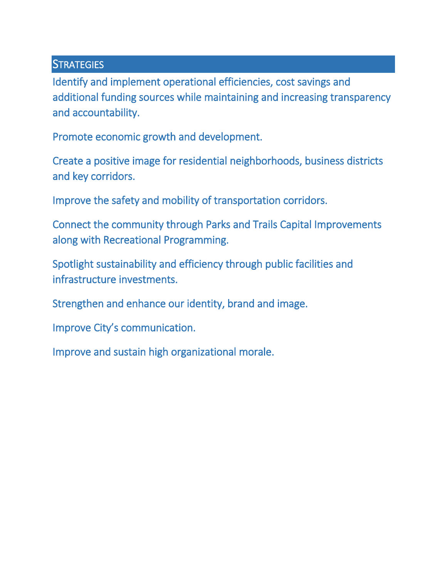#### **STRATEGIES**

Identify and implement operational efficiencies, cost savings and additional funding sources while maintaining and increasing transparency and accountability.

Promote economic growth and development.

Create a positive image for residential neighborhoods, business districts and key corridors.

Improve the safety and mobility of transportation corridors.

Connect the community through Parks and Trails Capital Improvements along with Recreational Programming.

Spotlight sustainability and efficiency through public facilities and infrastructure investments.

Strengthen and enhance our identity, brand and image.

Improve City's communication.

Improve and sustain high organizational morale.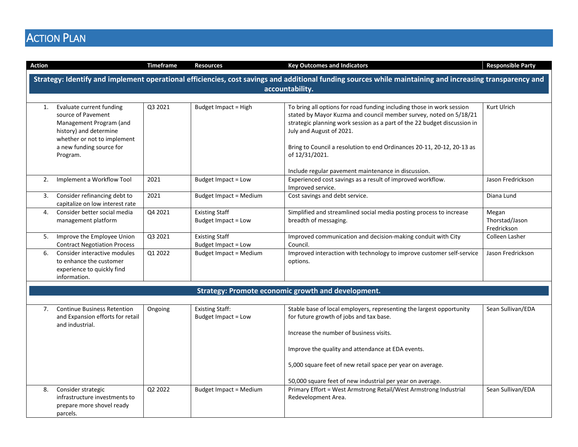## **ACTION PLAN**

| <b>Action</b>                                                                                                                                                               |                                                                                                                                                                            | <b>Timeframe</b> | <b>Resources</b>                              | <b>Key Outcomes and Indicators</b>                                                                                                                                                                                                                                                                                                                                                                    | <b>Responsible Party</b>               |
|-----------------------------------------------------------------------------------------------------------------------------------------------------------------------------|----------------------------------------------------------------------------------------------------------------------------------------------------------------------------|------------------|-----------------------------------------------|-------------------------------------------------------------------------------------------------------------------------------------------------------------------------------------------------------------------------------------------------------------------------------------------------------------------------------------------------------------------------------------------------------|----------------------------------------|
| Strategy: Identify and implement operational efficiencies, cost savings and additional funding sources while maintaining and increasing transparency and<br>accountability. |                                                                                                                                                                            |                  |                                               |                                                                                                                                                                                                                                                                                                                                                                                                       |                                        |
| 1.                                                                                                                                                                          | Evaluate current funding<br>source of Pavement<br>Management Program (and<br>history) and determine<br>whether or not to implement<br>a new funding source for<br>Program. | Q3 2021          | Budget Impact = High                          | To bring all options for road funding including those in work session<br>stated by Mayor Kuzma and council member survey, noted on 5/18/21<br>strategic planning work session as a part of the 22 budget discussion in<br>July and August of 2021.<br>Bring to Council a resolution to end Ordinances 20-11, 20-12, 20-13 as<br>of 12/31/2021.<br>Include regular pavement maintenance in discussion. | Kurt Ulrich                            |
| 2.                                                                                                                                                                          | Implement a Workflow Tool                                                                                                                                                  | 2021             | Budget Impact = Low                           | Experienced cost savings as a result of improved workflow.<br>Improved service.                                                                                                                                                                                                                                                                                                                       | Jason Fredrickson                      |
| 3.                                                                                                                                                                          | Consider refinancing debt to<br>capitalize on low interest rate                                                                                                            | 2021             | <b>Budget Impact = Medium</b>                 | Cost savings and debt service.                                                                                                                                                                                                                                                                                                                                                                        | Diana Lund                             |
| 4.                                                                                                                                                                          | Consider better social media<br>management platform                                                                                                                        | Q4 2021          | <b>Existing Staff</b><br>Budget Impact = Low  | Simplified and streamlined social media posting process to increase<br>breadth of messaging.                                                                                                                                                                                                                                                                                                          | Megan<br>Thorstad/Jason<br>Fredrickson |
| 5.                                                                                                                                                                          | Improve the Employee Union<br><b>Contract Negotiation Process</b>                                                                                                          | Q3 2021          | <b>Existing Staff</b><br>Budget Impact = Low  | Improved communication and decision-making conduit with City<br>Council.                                                                                                                                                                                                                                                                                                                              | Colleen Lasher                         |
| 6.                                                                                                                                                                          | Consider interactive modules<br>to enhance the customer<br>experience to quickly find<br>information.                                                                      | Q1 2022          | <b>Budget Impact = Medium</b>                 | Improved interaction with technology to improve customer self-service<br>options.                                                                                                                                                                                                                                                                                                                     | Jason Fredrickson                      |
|                                                                                                                                                                             |                                                                                                                                                                            |                  |                                               | Strategy: Promote economic growth and development.                                                                                                                                                                                                                                                                                                                                                    |                                        |
| 7.                                                                                                                                                                          | <b>Continue Business Retention</b><br>and Expansion efforts for retail<br>and industrial.                                                                                  | Ongoing          | <b>Existing Staff:</b><br>Budget Impact = Low | Stable base of local employers, representing the largest opportunity<br>for future growth of jobs and tax base.<br>Increase the number of business visits.<br>Improve the quality and attendance at EDA events.<br>5,000 square feet of new retail space per year on average.<br>50,000 square feet of new industrial per year on average.                                                            | Sean Sullivan/EDA                      |
| 8.                                                                                                                                                                          | Consider strategic<br>infrastructure investments to<br>prepare more shovel ready<br>parcels.                                                                               | Q2 2022          | <b>Budget Impact = Medium</b>                 | Primary Effort = West Armstrong Retail/West Armstrong Industrial<br>Redevelopment Area.                                                                                                                                                                                                                                                                                                               | Sean Sullivan/EDA                      |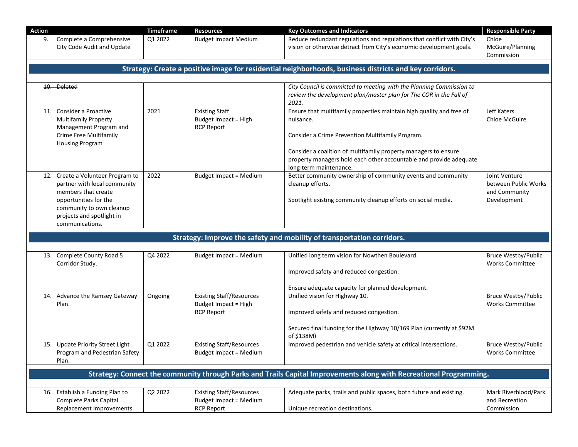| <b>Action</b> |                                                                                                                                                                                               | <b>Timeframe</b> | <b>Resources</b>                                                                      | <b>Key Outcomes and Indicators</b>                                                                                                                                                                                                                                                                       | <b>Responsible Party</b>                                              |
|---------------|-----------------------------------------------------------------------------------------------------------------------------------------------------------------------------------------------|------------------|---------------------------------------------------------------------------------------|----------------------------------------------------------------------------------------------------------------------------------------------------------------------------------------------------------------------------------------------------------------------------------------------------------|-----------------------------------------------------------------------|
| 9.            | Complete a Comprehensive<br>City Code Audit and Update                                                                                                                                        | Q1 2022          | <b>Budget Impact Medium</b>                                                           | Reduce redundant regulations and regulations that conflict with City's<br>vision or otherwise detract from City's economic development goals.                                                                                                                                                            | Chloe<br>McGuire/Planning<br>Commission                               |
|               |                                                                                                                                                                                               |                  |                                                                                       | Strategy: Create a positive image for residential neighborhoods, business districts and key corridors.                                                                                                                                                                                                   |                                                                       |
|               | 10. Deleted                                                                                                                                                                                   |                  |                                                                                       | City Council is committed to meeting with the Planning Commission to<br>review the development plan/master plan for The COR in the Fall of<br>2021.                                                                                                                                                      |                                                                       |
|               | 11. Consider a Proactive<br><b>Multifamily Property</b><br>Management Program and<br>Crime Free Multifamily<br><b>Housing Program</b>                                                         | 2021             | <b>Existing Staff</b><br>Budget Impact = High<br><b>RCP Report</b>                    | Ensure that multifamily properties maintain high quality and free of<br>nuisance.<br>Consider a Crime Prevention Multifamily Program.<br>Consider a coalition of multifamily property managers to ensure<br>property managers hold each other accountable and provide adequate<br>long-term maintenance. | <b>Jeff Katers</b><br>Chloe McGuire                                   |
|               | 12. Create a Volunteer Program to<br>partner with local community<br>members that create<br>opportunities for the<br>community to own cleanup<br>projects and spotlight in<br>communications. | 2022             | <b>Budget Impact = Medium</b>                                                         | Better community ownership of community events and community<br>cleanup efforts.<br>Spotlight existing community cleanup efforts on social media.                                                                                                                                                        | Joint Venture<br>between Public Works<br>and Community<br>Development |
|               |                                                                                                                                                                                               |                  |                                                                                       | Strategy: Improve the safety and mobility of transportation corridors.                                                                                                                                                                                                                                   |                                                                       |
|               |                                                                                                                                                                                               |                  |                                                                                       |                                                                                                                                                                                                                                                                                                          |                                                                       |
|               | 13. Complete County Road 5<br>Corridor Study.                                                                                                                                                 | Q4 2022          | <b>Budget Impact = Medium</b>                                                         | Unified long term vision for Nowthen Boulevard.<br>Improved safety and reduced congestion.<br>Ensure adequate capacity for planned development.                                                                                                                                                          | <b>Bruce Westby/Public</b><br><b>Works Committee</b>                  |
|               | 14. Advance the Ramsey Gateway<br>Plan.                                                                                                                                                       | Ongoing          | <b>Existing Staff/Resources</b><br>Budget Impact = High<br><b>RCP Report</b>          | Unified vision for Highway 10.<br>Improved safety and reduced congestion.<br>Secured final funding for the Highway 10/169 Plan (currently at \$92M<br>of \$138M)                                                                                                                                         | Bruce Westby/Public<br><b>Works Committee</b>                         |
|               | 15. Update Priority Street Light<br>Program and Pedestrian Safety<br>Plan.                                                                                                                    | Q1 2022          | <b>Existing Staff/Resources</b><br><b>Budget Impact = Medium</b>                      | Improved pedestrian and vehicle safety at critical intersections.                                                                                                                                                                                                                                        | <b>Bruce Westby/Public</b><br><b>Works Committee</b>                  |
|               |                                                                                                                                                                                               |                  |                                                                                       | Strategy: Connect the community through Parks and Trails Capital Improvements along with Recreational Programming.                                                                                                                                                                                       |                                                                       |
|               | 16. Establish a Funding Plan to<br>Complete Parks Capital<br>Replacement Improvements.                                                                                                        | Q2 2022          | <b>Existing Staff/Resources</b><br><b>Budget Impact = Medium</b><br><b>RCP Report</b> | Adequate parks, trails and public spaces, both future and existing.<br>Unique recreation destinations.                                                                                                                                                                                                   | Mark Riverblood/Park<br>and Recreation<br>Commission                  |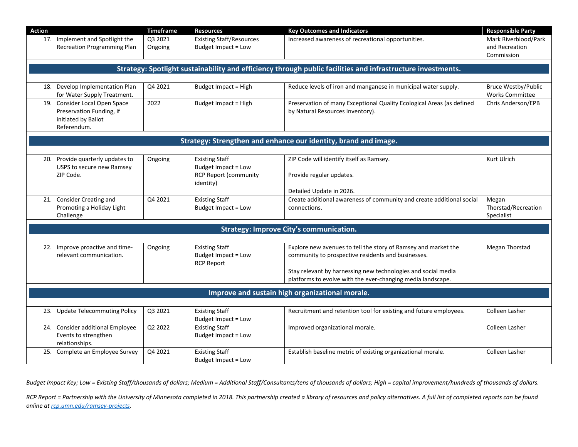| <b>Action</b> |                                                                                                 | Timeframe          | <b>Resources</b>                                                                          | <b>Key Outcomes and Indicators</b>                                                                                                                                                    | <b>Responsible Party</b>                             |
|---------------|-------------------------------------------------------------------------------------------------|--------------------|-------------------------------------------------------------------------------------------|---------------------------------------------------------------------------------------------------------------------------------------------------------------------------------------|------------------------------------------------------|
|               | 17. Implement and Spotlight the<br><b>Recreation Programming Plan</b>                           | Q3 2021<br>Ongoing | <b>Existing Staff/Resources</b><br>Budget Impact = Low                                    | Increased awareness of recreational opportunities.                                                                                                                                    | Mark Riverblood/Park<br>and Recreation<br>Commission |
|               |                                                                                                 |                    |                                                                                           | Strategy: Spotlight sustainability and efficiency through public facilities and infrastructure investments.                                                                           |                                                      |
| 18.           | Develop Implementation Plan<br>for Water Supply Treatment.                                      | Q4 2021            | <b>Budget Impact = High</b>                                                               | Reduce levels of iron and manganese in municipal water supply.                                                                                                                        | <b>Bruce Westby/Public</b><br><b>Works Committee</b> |
|               | 19. Consider Local Open Space<br>Preservation Funding, if<br>initiated by Ballot<br>Referendum. | 2022               | <b>Budget Impact = High</b>                                                               | Preservation of many Exceptional Quality Ecological Areas (as defined<br>by Natural Resources Inventory).                                                                             | Chris Anderson/EPB                                   |
|               |                                                                                                 |                    |                                                                                           | Strategy: Strengthen and enhance our identity, brand and image.                                                                                                                       |                                                      |
|               |                                                                                                 |                    |                                                                                           |                                                                                                                                                                                       |                                                      |
| 20.           | Provide quarterly updates to<br>USPS to secure new Ramsey<br>ZIP Code.                          | Ongoing            | <b>Existing Staff</b><br>Budget Impact = Low<br><b>RCP Report (community</b><br>identity) | ZIP Code will identify itself as Ramsey.<br>Provide regular updates.<br>Detailed Update in 2026.                                                                                      | <b>Kurt Ulrich</b>                                   |
|               | 21. Consider Creating and<br>Promoting a Holiday Light<br>Challenge                             | Q4 2021            | <b>Existing Staff</b><br>Budget Impact = Low                                              | Create additional awareness of community and create additional social<br>connections.                                                                                                 | Megan<br>Thorstad/Recreation<br>Specialist           |
|               |                                                                                                 |                    |                                                                                           | <b>Strategy: Improve City's communication.</b>                                                                                                                                        |                                                      |
|               |                                                                                                 |                    |                                                                                           |                                                                                                                                                                                       |                                                      |
|               | 22. Improve proactive and time-<br>relevant communication.                                      | Ongoing            | <b>Existing Staff</b><br>Budget Impact = Low<br><b>RCP Report</b>                         | Explore new avenues to tell the story of Ramsey and market the<br>community to prospective residents and businesses.<br>Stay relevant by harnessing new technologies and social media | <b>Megan Thorstad</b>                                |
|               |                                                                                                 |                    |                                                                                           | platforms to evolve with the ever-changing media landscape.                                                                                                                           |                                                      |
|               |                                                                                                 |                    |                                                                                           | Improve and sustain high organizational morale.                                                                                                                                       |                                                      |
|               |                                                                                                 |                    |                                                                                           |                                                                                                                                                                                       |                                                      |
|               | 23. Update Telecommuting Policy                                                                 | Q3 2021            | <b>Existing Staff</b><br>Budget Impact = Low                                              | Recruitment and retention tool for existing and future employees.                                                                                                                     | Colleen Lasher                                       |
|               | 24. Consider additional Employee<br>Events to strengthen<br>relationships.                      | Q2 2022            | <b>Existing Staff</b><br>Budget Impact = Low                                              | Improved organizational morale.                                                                                                                                                       | Colleen Lasher                                       |
| 25.           | Complete an Employee Survey                                                                     | Q4 2021            | <b>Existing Staff</b><br>Budget Impact = Low                                              | Establish baseline metric of existing organizational morale.                                                                                                                          | Colleen Lasher                                       |

*Budget Impact Key; Low = Existing Staff/thousands of dollars; Medium = Additional Staff/Consultants/tens of thousands of dollars; High = capital improvement/hundreds of thousands of dollars.*

*RCP Report = Partnership with the University of Minnesota completed in 2018. This partnership created a library of resources and policy alternatives. A full list of completed reports can be found online a[t rcp.umn.edu/ramsey-projects.](file://ra-fs01/CITYWIDE$/Strategic%20Plan/2019/rcp.umn.edu/ramsey-projects)*